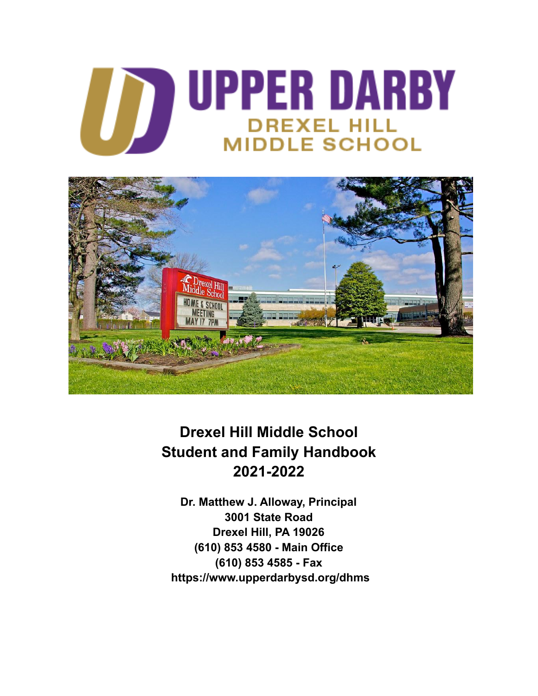# **JAN UPPER DARBY**



**Drexel Hill Middle School Student and Family Handbook 2021-2022**

**Dr. Matthew J. Alloway, Principal 3001 State Road Drexel Hill, PA 19026 (610) 853 4580 - Main Office (610) 853 4585 - Fax https://www.upperdarbysd.org/dhms**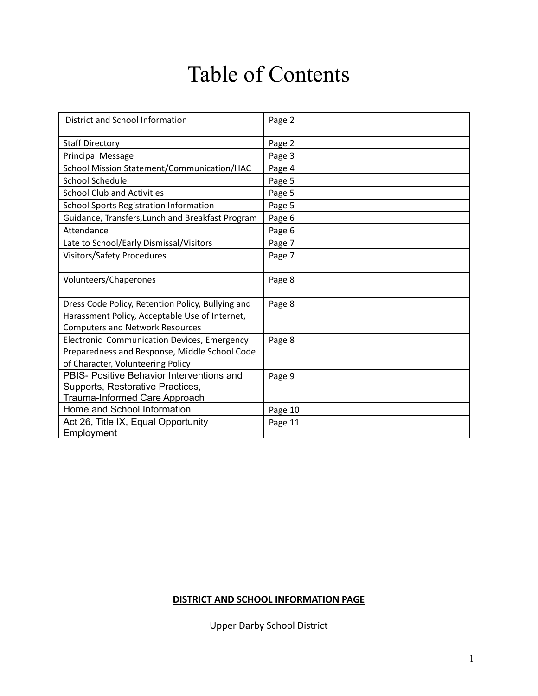# Table of Contents

| District and School Information                                                                                                               | Page 2  |
|-----------------------------------------------------------------------------------------------------------------------------------------------|---------|
| <b>Staff Directory</b>                                                                                                                        | Page 2  |
| <b>Principal Message</b>                                                                                                                      | Page 3  |
| School Mission Statement/Communication/HAC                                                                                                    | Page 4  |
| <b>School Schedule</b>                                                                                                                        | Page 5  |
| <b>School Club and Activities</b>                                                                                                             | Page 5  |
| School Sports Registration Information                                                                                                        | Page 5  |
| Guidance, Transfers, Lunch and Breakfast Program                                                                                              | Page 6  |
| Attendance                                                                                                                                    | Page 6  |
| Late to School/Early Dismissal/Visitors                                                                                                       | Page 7  |
| <b>Visitors/Safety Procedures</b>                                                                                                             | Page 7  |
| Volunteers/Chaperones                                                                                                                         | Page 8  |
| Dress Code Policy, Retention Policy, Bullying and<br>Harassment Policy, Acceptable Use of Internet,<br><b>Computers and Network Resources</b> | Page 8  |
| Electronic Communication Devices, Emergency<br>Preparedness and Response, Middle School Code<br>of Character, Volunteering Policy             | Page 8  |
| PBIS- Positive Behavior Interventions and<br>Supports, Restorative Practices,<br>Trauma-Informed Care Approach                                | Page 9  |
| Home and School Information                                                                                                                   | Page 10 |
| Act 26, Title IX, Equal Opportunity<br>Employment                                                                                             | Page 11 |

# **DISTRICT AND SCHOOL INFORMATION PAGE**

Upper Darby School District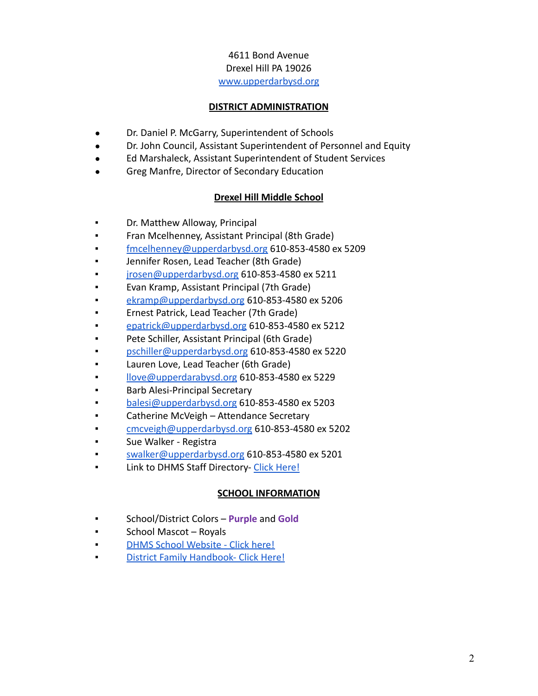# 4611 Bond Avenue Drexel Hill PA 19026 [www.upperdarbysd.org](http://www.upperdarbysd.org)

# **DISTRICT ADMINISTRATION**

- Dr. Daniel P. McGarry, Superintendent of Schools
- Dr. John Council, Assistant Superintendent of Personnel and Equity
- Ed Marshaleck, Assistant Superintendent of Student Services
- Greg Manfre, Director of Secondary Education

# **Drexel Hill Middle School**

- Dr. Matthew Alloway, Principal
- Fran Mcelhenney, Assistant Principal (8th Grade)
- **•** [fmcelhenney@upperdarbysd.org](mailto:fmcelhenney@upperdarbysd.org) 610-853-4580 ex 5209
- Jennifer Rosen, Lead Teacher (8th Grade)
- [jrosen@upperdarbysd.org](mailto:jrosen@upperdarbysd.org) 610-853-4580 ex 5211
- Evan Kramp, Assistant Principal (7th Grade)
- [ekramp@upperdarbysd.org](mailto:ekramp@upperdarbysd.org) 610-853-4580 ex 5206
- Ernest Patrick, Lead Teacher (7th Grade)
- [epatrick@upperdarbysd.org](mailto:epatrick@upperdarbysd.org) 610-853-4580 ex 5212
- Pete Schiller, Assistant Principal (6th Grade)
- [pschiller@upperdarbysd.org](mailto:pschiller@upperdarbysd.org) 610-853-4580 ex 5220
- Lauren Love, Lead Teacher (6th Grade)
- **Ilove@upperdarabysd.org 610-853-4580 ex 5229**
- **Barb Alesi-Principal Secretary**
- [balesi@upperdarbysd.org](mailto:balesi@upperdarbysd.org) 610-853-4580 ex 5203
- Catherine McVeigh Attendance Secretary
- [cmcveigh@upperdarbysd.org](mailto:cmcveigh@upperdarbysd.org) 610-853-4580 ex 5202
- Sue Walker Registra
- [swalker@upperdarbysd.org](mailto:swalker@upperdarbysd.org) 610-853-4580 ex 5201
- Link to DHMS Staff Directory- [Click Here!](https://www.upperdarbysd.org/site/Default.aspx?PageType=1&SiteID=10&ChannelID=68&DirectoryType=6)

# **SCHOOL INFORMATION**

- School/District Colors Purple and Gold
- School Mascot Royals
- [DHMS School Website Click here!](https://www.upperdarbysd.org/dhms)
- **[District Family Handbook- Click Here!](https://www.upperdarbysd.org/domain/2082)**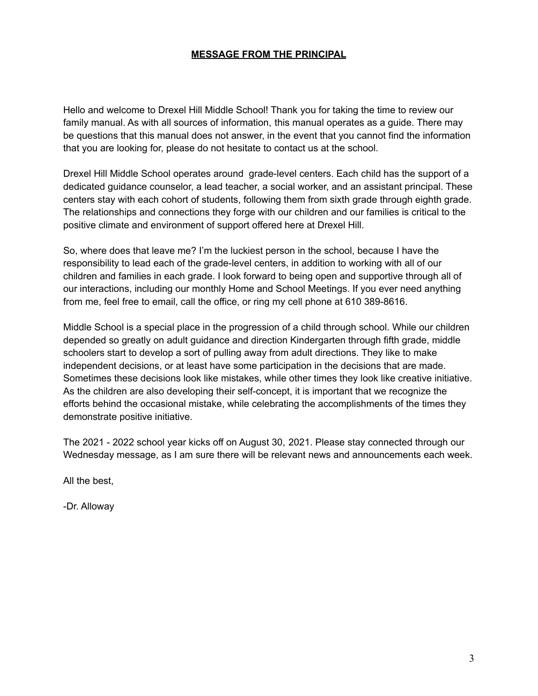# **MESSAGE FROM THE PRINCIPAL**

Hello and welcome to Drexel Hill Middle School! Thank you for taking the time to review our family manual. As with all sources of information, this manual operates as a guide. There may be questions that this manual does not answer, in the event that you cannot find the information that you are looking for, please do not hesitate to contact us at the school.

Drexel Hill Middle School operates around grade-level centers. Each child has the support of a dedicated guidance counselor, a lead teacher, a social worker, and an assistant principal. These centers stay with each cohort of students, following them from sixth grade through eighth grade. The relationships and connections they forge with our children and our families is critical to the positive climate and environment of support offered here at Drexel Hill.

So, where does that leave me? I'm the luckiest person in the school, because I have the responsibility to lead each of the grade-level centers, in addition to working with all of our children and families in each grade. I look forward to being open and supportive through all of our interactions, including our monthly Home and School Meetings. If you ever need anything from me, feel free to email, call the office, or ring my cell phone at 610 389-8616.

Middle School is a special place in the progression of a child through school. While our children depended so greatly on adult guidance and direction Kindergarten through fifth grade, middle schoolers start to develop a sort of pulling away from adult directions. They like to make independent decisions, or at least have some participation in the decisions that are made. Sometimes these decisions look like mistakes, while other times they look like creative initiative. As the children are also developing their self-concept, it is important that we recognize the efforts behind the occasional mistake, while celebrating the accomplishments of the times they demonstrate positive initiative.

The 2021 - 2022 school year kicks off on August 30, 2021. Please stay connected through our Wednesday message, as I am sure there will be relevant news and announcements each week.

All the best,

-Dr. Alloway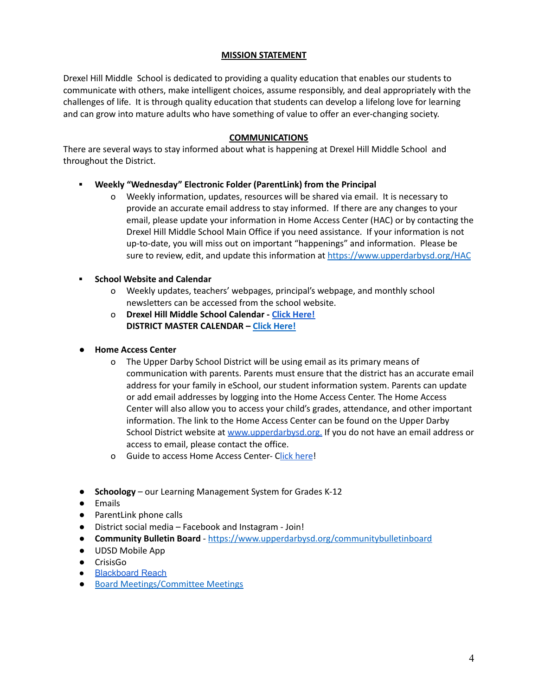## **MISSION STATEMENT**

Drexel Hill Middle School is dedicated to providing a quality education that enables our students to communicate with others, make intelligent choices, assume responsibly, and deal appropriately with the challenges of life. It is through quality education that students can develop a lifelong love for learning and can grow into mature adults who have something of value to offer an ever-changing society.

#### **COMMUNICATIONS**

There are several ways to stay informed about what is happening at Drexel Hill Middle School and throughout the District.

#### **▪ Weekly "Wednesday" Electronic Folder (ParentLink) from the Principal**

o Weekly information, updates, resources will be shared via email. It is necessary to provide an accurate email address to stay informed. If there are any changes to your email, please update your information in Home Access Center (HAC) or by contacting the Drexel Hill Middle School Main Office if you need assistance. If your information is not up-to-date, you will miss out on important "happenings" and information. Please be sure to review, edit, and update this information at <https://www.upperdarbysd.org/HAC>

#### **▪ School Website and Calendar**

- o Weekly updates, teachers' webpages, principal's webpage, and monthly school newsletters can be accessed from the school website.
- o **Drexel Hill Middle School Calendar - Click [Here!](https://www.upperdarbysd.org/Page/14#calendar10/20210812/month) DISTRICT MASTER CALENDAR – Click [Here!](https://pa02209738.schoolwires.net/Page/2#calendar1/20210629/month)**
- **● Home Access Center**
	- o The Upper Darby School District will be using email as its primary means of communication with parents. Parents must ensure that the district has an accurate email address for your family in eSchool, our student information system. Parents can update or add email addresses by logging into the Home Access Center. The Home Access Center will also allow you to access your child's grades, attendance, and other important information. The link to the Home Access Center can be found on the Upper Darby School District website at [www.upperdarbysd.org.](http://www.upperdarbysd.org.) If you do not have an email address or access to email, please contact the office.
	- o Guide to access Home Access Center- Click [here](https://www.upperdarbysd.org/cms/lib/PA02209738/Centricity/Domain/1889/Home%20Access%20Center%20Directions.mp4)!
- **Schoology** our Learning Management System for Grades K-12
- Emails
- ParentLink phone calls
- District social media Facebook and Instagram Join!
- **Community Bulletin Board** <https://www.upperdarbysd.org/communitybulletinboard>
- UDSD Mobile App
- CrisisGo
- [Blackboard](https://www.youtube.com/watch?v=_QzmzsjVQO8) Reach
- Board [Meetings/Committee](https://go.boarddocs.com/pa/udar/Board.nsf/Public) Meetings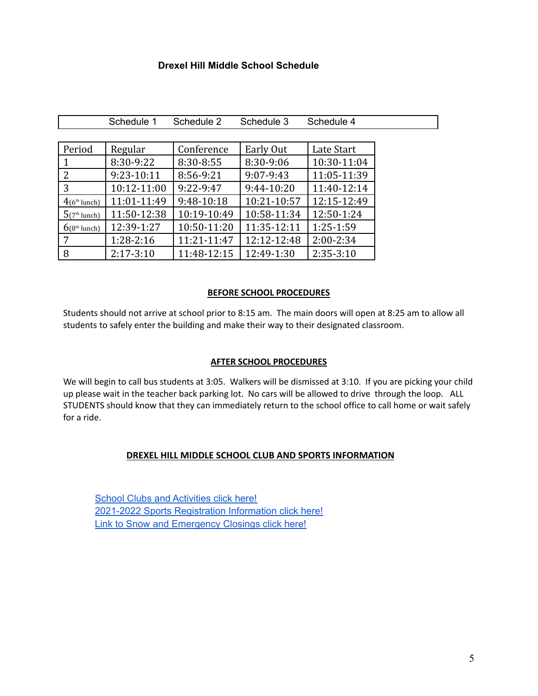## **Drexel Hill Middle School Schedule**

|                          | Schedule 1    | Schedule 2  | Schedule 3  | Schedule 4    |
|--------------------------|---------------|-------------|-------------|---------------|
|                          |               |             |             |               |
| Period                   | Regular       | Conference  | Early Out   | Late Start    |
| 1                        | 8:30-9:22     | 8:30-8:55   | 8:30-9:06   | 10:30-11:04   |
| 2                        | 9:23-10:11    | 8:56-9:21   | 9:07-9:43   | 11:05-11:39   |
| 3                        | 10:12-11:00   | $9:22-9:47$ | 9:44-10:20  | 11:40-12:14   |
| 4(6 <sup>th</sup> lunch) | 11:01-11:49   | 9:48-10:18  | 10:21-10:57 | 12:15-12:49   |
| 5(7 <sup>th</sup> lunch) | 11:50-12:38   | 10:19-10:49 | 10:58-11:34 | 12:50-1:24    |
| 6(8 <sup>th</sup> lunch) | 12:39-1:27    | 10:50-11:20 | 11:35-12:11 | 1:25-1:59     |
| 7                        | 1:28-2:16     | 11:21-11:47 | 12:12-12:48 | $2:00 - 2:34$ |
| 8                        | $2:17 - 3:10$ | 11:48-12:15 | 12:49-1:30  | $2:35-3:10$   |

#### **BEFORE SCHOOL PROCEDURES**

Students should not arrive at school prior to 8:15 am. The main doors will open at 8:25 am to allow all students to safely enter the building and make their way to their designated classroom.

#### **AFTER SCHOOL PROCEDURES**

We will begin to call bus students at 3:05. Walkers will be dismissed at 3:10. If you are picking your child up please wait in the teacher back parking lot. No cars will be allowed to drive through the loop. ALL STUDENTS should know that they can immediately return to the school office to call home or wait safely for a ride.

#### **DREXEL HILL MIDDLE SCHOOL CLUB AND SPORTS INFORMATION**

School Clubs and [Activities](https://www.upperdarbysd.org/domain/1266) click here! 2021-2022 Sports [Registration](https://www.upperdarbysd.org/domain/1587) Information click here! Link to Snow and [Emergency](https://go.boarddocs.com/pa/udar/Board.nsf/goto?open&id=9YS4XX0DC1F5) Closings click here!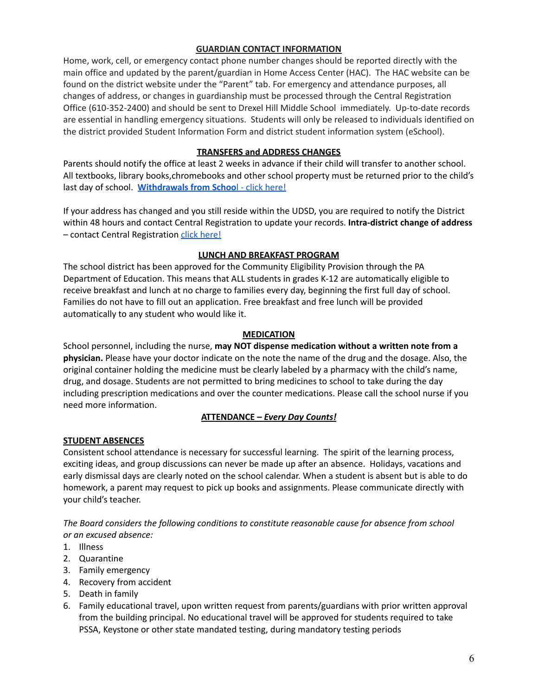#### **GUARDIAN CONTACT INFORMATION**

Home, work, cell, or emergency contact phone number changes should be reported directly with the main office and updated by the parent/guardian in Home Access Center (HAC). The HAC website can be found on the district website under the "Parent" tab. For emergency and attendance purposes, all changes of address, or changes in guardianship must be processed through the Central Registration Office (610-352-2400) and should be sent to Drexel Hill Middle School immediately. Up-to-date records are essential in handling emergency situations. Students will only be released to individuals identified on the district provided Student Information Form and district student information system (eSchool).

# **TRANSFERS and ADDRESS CHANGES**

Parents should notify the office at least 2 weeks in advance if their child will transfer to another school. All textbooks, library books,chromebooks and other school property must be returned prior to the child's last day of school. **[Withdrawals](https://go.boarddocs.com/pa/udar/Board.nsf/goto?open&id=9YS4L90C0B9B) from Schoo**l - click here!

If your address has changed and you still reside within the UDSD, you are required to notify the District within 48 hours and contact Central Registration to update your records. **Intra-district change of address** – contact Central Registration click [here!](https://www.upperdarbysd.org/Page/3000)

# **LUNCH AND BREAKFAST PROGRAM**

The school district has been approved for the Community Eligibility Provision through the PA Department of Education. This means that ALL students in grades K-12 are automatically eligible to receive breakfast and lunch at no charge to families every day, beginning the first full day of school. Families do not have to fill out an application. Free breakfast and free lunch will be provided automatically to any student who would like it.

# **MEDICATION**

School personnel, including the nurse, **may NOT dispense medication without a written note from a physician.** Please have your doctor indicate on the note the name of the drug and the dosage. Also, the original container holding the medicine must be clearly labeled by a pharmacy with the child's name, drug, and dosage. Students are not permitted to bring medicines to school to take during the day including prescription medications and over the counter medications. Please call the school nurse if you need more information.

# **ATTENDANCE –** *Every Day Counts!*

# **STUDENT ABSENCES**

Consistent school attendance is necessary for successful learning. The spirit of the learning process, exciting ideas, and group discussions can never be made up after an absence. Holidays, vacations and early dismissal days are clearly noted on the school calendar. When a student is absent but is able to do homework, a parent may request to pick up books and assignments. Please communicate directly with your child's teacher.

*The Board considers the following conditions to constitute reasonable cause for absence from school or an excused absence:*

- 1. Illness
- 2. Quarantine
- 3. Family emergency
- 4. Recovery from accident
- 5. Death in family
- 6. Family educational travel, upon written request from parents/guardians with prior written approval from the building principal. No educational travel will be approved for students required to take PSSA, Keystone or other state mandated testing, during mandatory testing periods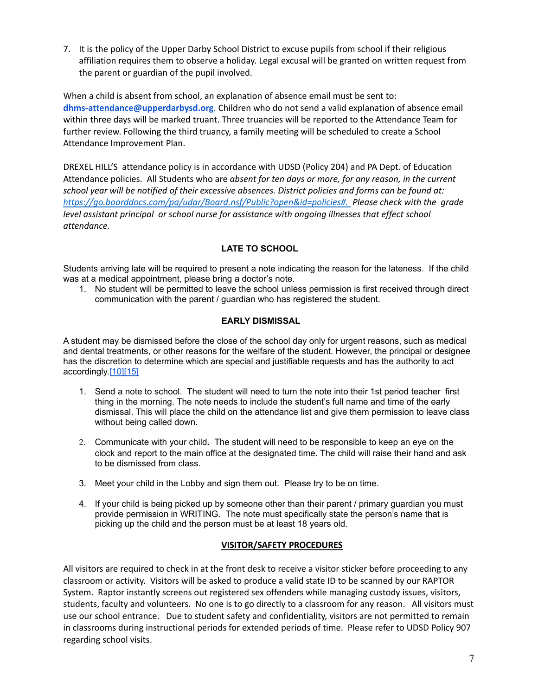7. It is the policy of the Upper Darby School District to excuse pupils from school if their religious affiliation requires them to observe a holiday. Legal excusal will be granted on written request from the parent or guardian of the pupil involved.

When a child is absent from school, an explanation of absence email must be sent to: **[dhms-attendance@upperdarbysd.org](mailto:dhms-attendance@upperdarbysd.org)**. Children who do not send a valid explanation of absence email within three days will be marked truant. Three truancies will be reported to the Attendance Team for further review. Following the third truancy, a family meeting will be scheduled to create a School Attendance Improvement Plan.

DREXEL HILL'S attendance policy is in accordance with UDSD (Policy 204) and PA Dept. of Education Attendance policies. All Students who are *absent for ten days or more, for any reason, in the current school year will be notified of their excessive absences. District policies and forms can be found at: [https://go.boarddocs.com/pa/udar/Board.nsf/Public?open&id=policies#.](https://go.boarddocs.com/pa/udar/Board.nsf/Public?open&id=policies) Please check with the grade level assistant principal or school nurse for assistance with ongoing illnesses that effect school attendance.*

# **LATE TO SCHOOL**

Students arriving late will be required to present a note indicating the reason for the lateness. If the child was at a medical appointment, please bring a doctor's note.

1. No student will be permitted to leave the school unless permission is first received through direct communication with the parent / guardian who has registered the student.

# **EARLY DISMISSAL**

A student may be dismissed before the close of the school day only for urgent reasons, such as medical and dental treatments, or other reasons for the welfare of the student. However, the principal or designee has the discretion to determine which are special and justifiable requests and has the authority to act accordingly.[\[10\]](http://www.pacode.com/secure/data/022/chapter11/s11.25.html)[\[15\]](http://www.pacode.com/secure/data/022/chapter11/s11.23.html)

- 1. Send a note to school. The student will need to turn the note into their 1st period teacher first thing in the morning. The note needs to include the student's full name and time of the early dismissal. This will place the child on the attendance list and give them permission to leave class without being called down.
- 2. Communicate with your child**.** The student will need to be responsible to keep an eye on the clock and report to the main office at the designated time. The child will raise their hand and ask to be dismissed from class.
- 3. Meet your child in the Lobby and sign them out. Please try to be on time.
- 4. If your child is being picked up by someone other than their parent / primary guardian you must provide permission in WRITING*.* The note must specifically state the person's name that is picking up the child and the person must be at least 18 years old.

#### **VISITOR/SAFETY PROCEDURES**

All visitors are required to check in at the front desk to receive a visitor sticker before proceeding to any classroom or activity. Visitors will be asked to produce a valid state ID to be scanned by our RAPTOR System. Raptor instantly screens out registered sex offenders while managing custody issues, visitors, students, faculty and volunteers. No one is to go directly to a classroom for any reason. All visitors must use our school entrance. Due to student safety and confidentiality, visitors are not permitted to remain in classrooms during instructional periods for extended periods of time. Please refer to UDSD Policy 907 regarding school visits.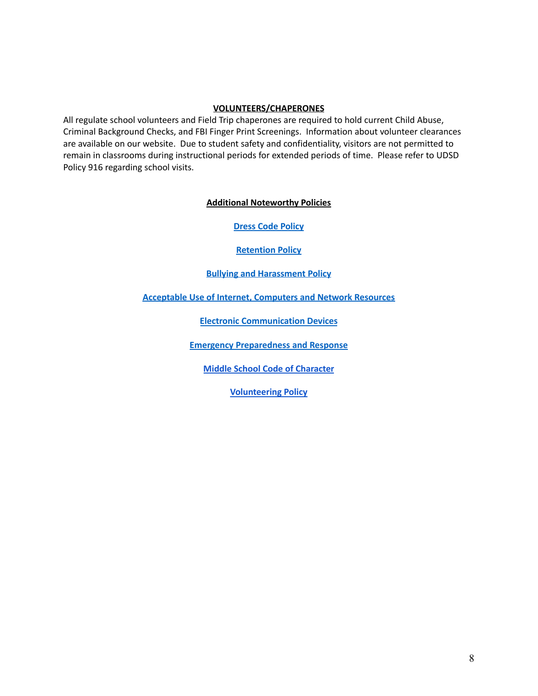#### **VOLUNTEERS/CHAPERONES**

All regulate school volunteers and Field Trip chaperones are required to hold current Child Abuse, Criminal Background Checks, and FBI Finger Print Screenings. Information about volunteer clearances are available on our website. Due to student safety and confidentiality, visitors are not permitted to remain in classrooms during instructional periods for extended periods of time. Please refer to UDSD Policy 916 regarding school visits.

**Additional Noteworthy Policies**

**Dress Code [Policy](http://go.boarddocs.com/pa/udar/Board.nsf/goto?open&id=A7AUDF6880F4)**

**[Retention](http://go.boarddocs.com/pa/udar/Board.nsf/goto?open&id=9YS4M40C2B80) Policy**

**Bullying and [Harassment](http://go.boarddocs.com/pa/udar/Board.nsf/goto?open&id=BS42QP034A62) Policy**

**[Acceptable](http://go.boarddocs.com/pa/udar/Board.nsf/goto?open&id=AYZ2FP628095) Use of Internet, Computers and Network Resources**

**Electronic [Communication](http://go.boarddocs.com/pa/udar/Board.nsf/goto?open&id=9YS4PW0C953D) Devices**

**Emergency [Preparedness](http://go.boarddocs.com/pa/udar/Board.nsf/goto?open&id=BJ9KQY530CBC) and Response**

**Middle School Code of [Character](https://www.upperdarbysd.org/domain/1414)**

**[Volunteering](https://www.upperdarbysd.org/volunteering) Policy**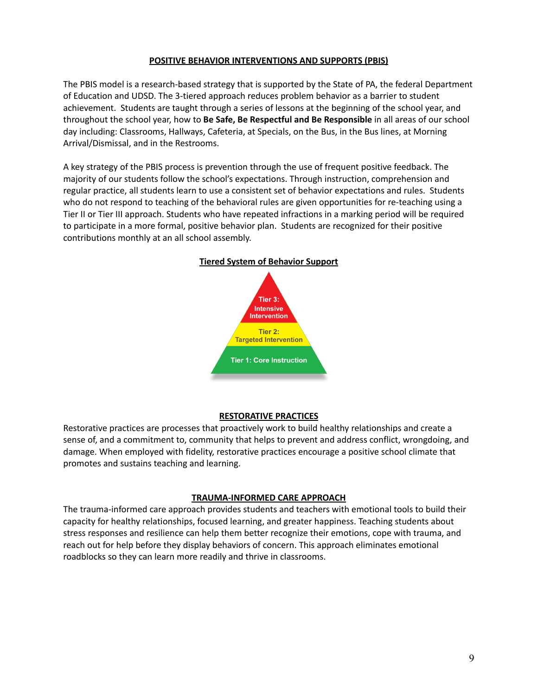#### **POSITIVE BEHAVIOR INTERVENTIONS AND SUPPORTS (PBIS)**

The PBIS model is a research-based strategy that is supported by the State of PA, the federal Department of Education and UDSD. The 3-tiered approach reduces problem behavior as a barrier to student achievement. Students are taught through a series of lessons at the beginning of the school year, and throughout the school year, how to **Be Safe, Be Respectful and Be Responsible** in all areas of our school day including: Classrooms, Hallways, Cafeteria, at Specials, on the Bus, in the Bus lines, at Morning Arrival/Dismissal, and in the Restrooms.

A key strategy of the PBIS process is prevention through the use of frequent positive feedback. The majority of our students follow the school's expectations. Through instruction, comprehension and regular practice, all students learn to use a consistent set of behavior expectations and rules. Students who do not respond to teaching of the behavioral rules are given opportunities for re-teaching using a Tier II or Tier III approach. Students who have repeated infractions in a marking period will be required to participate in a more formal, positive behavior plan. Students are recognized for their positive contributions monthly at an all school assembly.



#### **RESTORATIVE PRACTICES**

Restorative practices are processes that proactively work to build healthy relationships and create a sense of, and a commitment to, community that helps to prevent and address conflict, wrongdoing, and damage. When employed with fidelity, restorative practices encourage a positive school climate that promotes and sustains teaching and learning.

#### **TRAUMA-INFORMED CARE APPROACH**

The trauma-informed care approach provides students and teachers with emotional tools to build their capacity for healthy relationships, focused learning, and greater happiness. Teaching students about stress responses and resilience can help them better recognize their emotions, cope with trauma, and reach out for help before they display behaviors of concern. This approach eliminates emotional roadblocks so they can learn more readily and thrive in classrooms.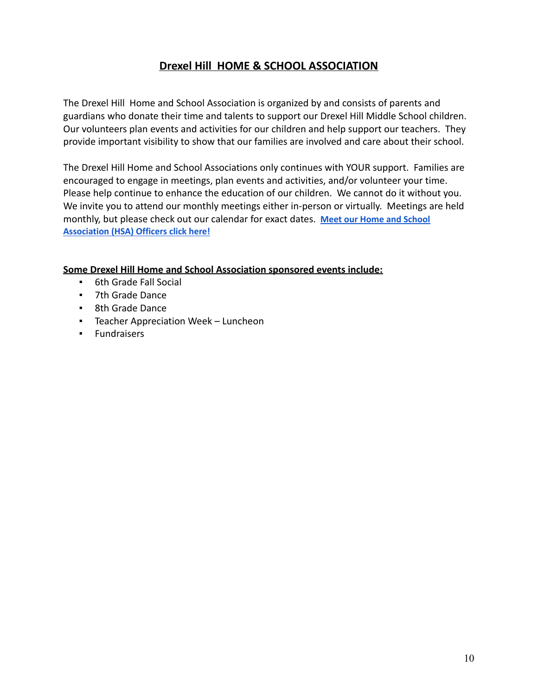# **Drexel Hill HOME & SCHOOL ASSOCIATION**

The Drexel Hill Home and School Association is organized by and consists of parents and guardians who donate their time and talents to support our Drexel Hill Middle School children. Our volunteers plan events and activities for our children and help support our teachers. They provide important visibility to show that our families are involved and care about their school.

The Drexel Hill Home and School Associations only continues with YOUR support. Families are encouraged to engage in meetings, plan events and activities, and/or volunteer your time. Please help continue to enhance the education of our children. We cannot do it without you. We invite you to attend our monthly meetings either in-person or virtually. Meetings are held monthly, but please check out our calendar for exact dates. **Meet our Home and [School](https://www.upperdarbysd.org/domain/1207) [Association](https://www.upperdarbysd.org/domain/1207) (HSA) Officers click here!**

# **Some Drexel Hill Home and School Association sponsored events include:**

- 6th Grade Fall Social
- 7th Grade Dance
- 8th Grade Dance
- Teacher Appreciation Week Luncheon
- Fundraisers